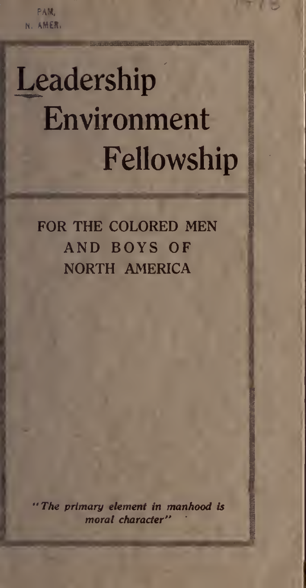# Leadership Environment Fellowship

FOR THE COLORED MEN AND BOYS OF NORTH AMERICA

HuanaaMBmiaiiniMl

" The primary element in manhood is moral character"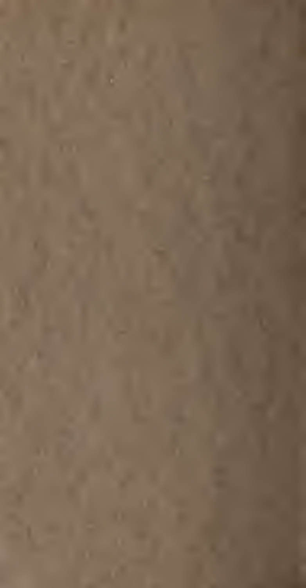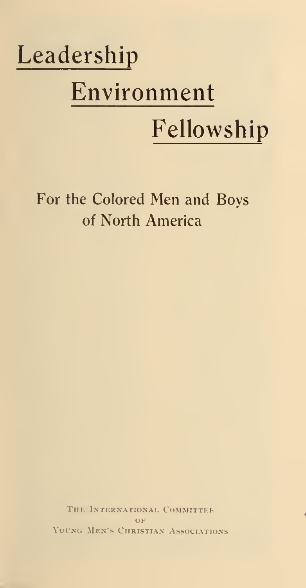# Leadership Environment Fellowship

For the Colored Men and Boys of North America

THE INTERNATIONAL COMMITTEE  $\cap$ <sub>E</sub> Young Men's Christian Associations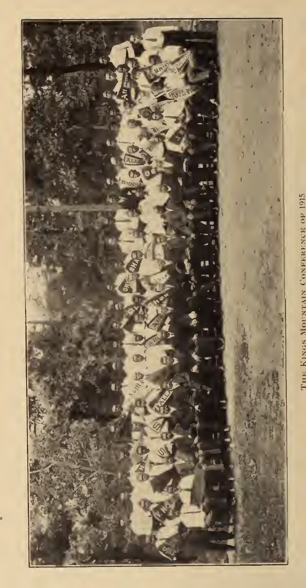

'ONFERENCE OF 1915 THE KINGS MOUNTAIN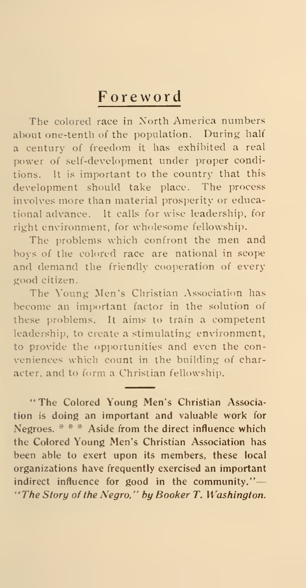# Foreword

The colored race in North America numbers about one-tenth of the population. During half a century of freedom it has exhibited a real power of self-development under proper conditions. It is important to the country that this development should take place. The process involves more than material prosperity or educational advance. It calls for wise leadership, for right environment, for wholesome fellowship.

The problems which confront the men and boys of the colored race are national in scope and demand the friendly cooperation of every good citizen.

The Young Men's Christian Association has become an important factor in the solution of these problems. It aims to train a competent leadership, to create a stimulating environment, to provide the opportunities and even the con veniences which count in the building of character, and to form a Christian fellowship.

"The Colored Young Men's Christian Association is doing an important and valuable work for Negroes. \* \* \* Aside from the direct influence which the Colored Young Men's Christian Association has been able to exert upon its members, these local organizations have frequently exercised an important indirect influence for good in the community.''— "The Story of the Negro," by Booker T. Washington.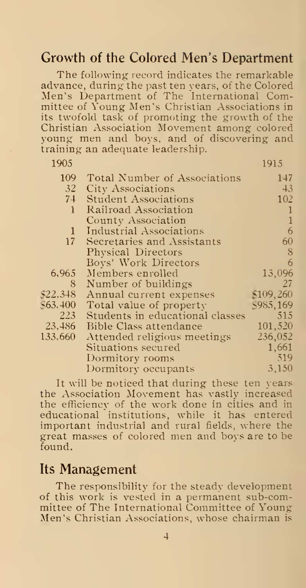# Growth of the Colored Men's Department

The following record indicates the remarkable advance, during the past ten years, of the Colored Men's Department of The International Committee of Young Men's Christian Associations in its twofold task of promoting the growth of the young men and boys, and of discovering and training an adequate leadership.

|                                 | 1915         |
|---------------------------------|--------------|
| Total Number of Associations    | $1+7$        |
| City Associations               | 43           |
| <b>Student Associations</b>     | 102          |
| Railroad Association            | $\mathbf{1}$ |
| County Association              | $\mathbf{1}$ |
| Industrial Associations         | 6            |
| Secretaries and Assistants      | 60           |
| Physical Directors              | 8            |
| Boys' Work Directors            | 6            |
| Members enrolled                | 13,096       |
| Number of buildings             | 27           |
| Annual current expenses         | \$109,260    |
| Total value of property         | \$985,169    |
| Students in educational classes | 515          |
| Bible Class attendance          | 101,520      |
| Attended religious meetings     | 236,052      |
| Situations secured              | 1,661        |
| Dormitory rooms                 | 519          |
| Dormitory occupants             | 3,150        |
|                                 |              |

It will be noticed that during these ten years the Association Movement has vastly increased the efficiency of the work done in cities and in educational institutions, while it has entered important industrial and rural fields, where the great masses of colored men and boys are to be found.

#### Its Management

The responsibility for the steady development of this work is vested in a permanent sub-committee of The International Committee of Young Men's Christian Associations, whose chairman is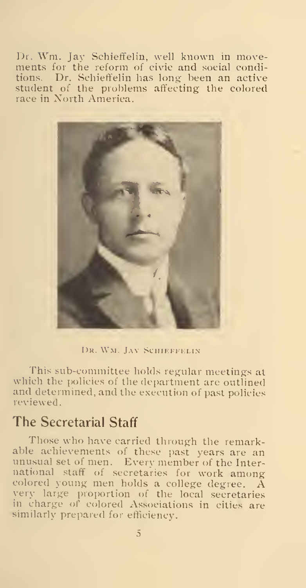Dr. Wm. Jay Schieffelin, well known in move-ments for the reform of civic and social conditions. Dr. Schieffelin has long been an active student of the problems affecting the colored race in North America.



DR. WM. JAY SCHIEFFELIN

This sub-committee holds regular meetings at which the policies of the department are outlined and determined, and the execution of past policies reviewed.

# The Secretarial Staff

Those who have carried through the remarkable achievements of these past years are an unusual set of men. Every member of the Inter national staff of secretaries for work among colored young men holds <sup>a</sup> college degree. A very large proportion of the local secretaries in charge of colored Associations in cities are similarly prepared for efficiency.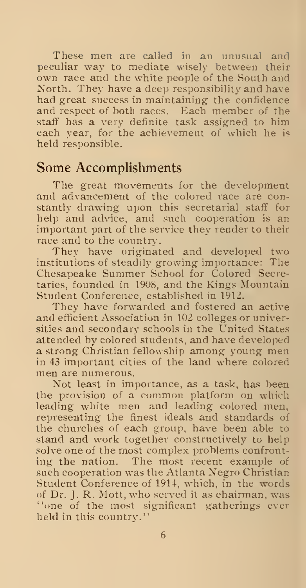These men are called in an unusual and peculiar way to mediate wisely between their own race and the white people of the South and North. They have a deep responsibility and have had great success in maintaining the confidence and respect of both races. Each member of the staff has a very definite task assigned to him each year, for the achievement of which he is held responsible.

#### Some Accomplishments

The great movements for the development and advancement of the colored race are constantly drawing upon this secretarial staff for help and advice, and such cooperation is an important part of the service they render to their race and to the country.

They have originated and developed two institutions of steadily growing importance: The Chesapeake Summer School for Colored Secretaries, founded in 1908, and the Kings Mountain Student Conference, established in 1912.

They have forwarded and fostered an active and efficient Association in 102 colleges or universities and secondary schools in the United States attended by colored students, and have developed a strong Christian fellowship among young men in <sup>43</sup> important cities of the land where colored men are numerous.

Not least in importance, as a task, has been the provision of a common platform on which leading white men and leading colored men, representing the finest ideals and standards of the churches of each group, have been able to stand and work together constructively to help solve one of the most complex problems confront ing the nation. The most recent example of such cooperation was the Atlanta Negro Christian Student Conference of 1914, which, in the words of Dr. J. R. Mott, who served it as chairman, was "one of the most significant gatherings ever held in this country."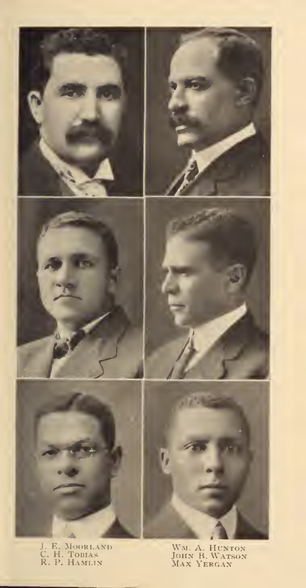

J. E. Moorland C. H. Tobias R. P. Hamlin

Wm. A. Hunton John H. Watson Max Yergan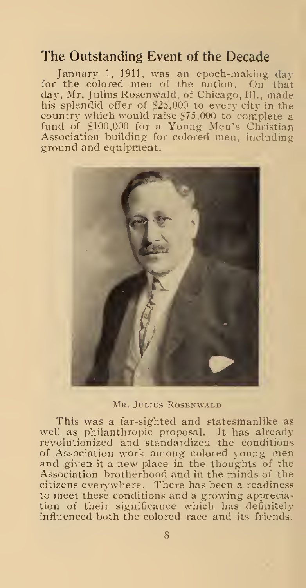## The Outstanding Event of the Decade

January 1, 1911, was an epoch-making day for the colored men of the nation. On that day, Mr. Julius Rosenwald, of Chicago, 111., made his splendid offer of \$25,000 to every city in the country which would raise \$75,000 to complete a fund of \$100,000 for a Young Men's Christian Association building for colored men, including ground and equipment.



Mr. JULIUS ROSENWALD

This was a far-sighted and statesmanlike as well as philanthropic proposal. It has already revolutionized and standardized the conditions of Association work among colored young men and given it a new place in the thoughts of the Association brotherhood and in the minds of the citizens everywhere. There has been a readiness to meet these conditions and a growing appreciation of their significance which has definitely influenced both the colored race and its friends.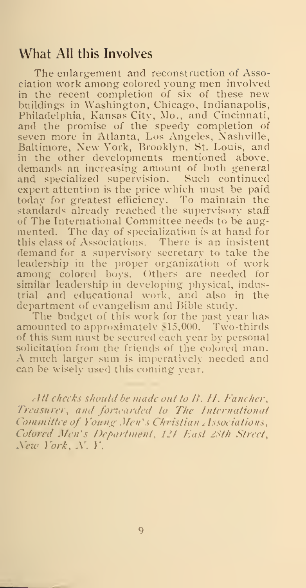# What All this Involves

The enlargement and reconstruction of Association work among colored young men involved in the recent completion of six of these new buildings in Washington, Chicago, Indianapolis, Philadelphia, Kansas City, Mo., and Cincinnati, and the promise of the speedy completion of seven more in Atlanta, Los Angeles, Nashville, Baltimore, New York, Brooklyn, St. Louis, and in the other developments mentioned above, demands an increasing amount of both general and specialized supervision. Such continued expert attention is the price which must be paid today for greatest efficiency. To maintain the standards already reached the supervisory staff of The International Committee needs to be aug mented. The day of specialization is at hand for<br>this class of Associations. There is an insistent demand for a supervisory secretary to take the leadership in the proper organization of work among colored boys. Others are needed for similar leadership in developing physical, industrial and educational work, and also in the department of evangelism and Bible study.

The budget of this work for the past year has amounted to approximately S15,000. Two-thirds of this sum must be secured each year by personal solicitation from the friends of the colored man. A much larger sum is imperatively needed and can be wisely used this coming year.

 $Alt$  checks should be made out to  $B$ .  $H$ , Fancher, Treasurer, and forwarded to The International Committee of Young Men's Christian Associations, Colored Men's Department, 124 East 28th Street New York, N. Y.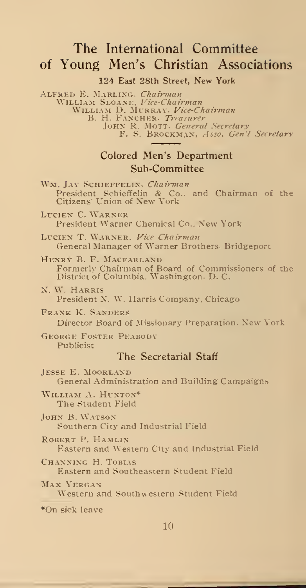# The International Committee of Young Men's Christian Associations

124 East 28th Street, New York

ALFRED E. MARLING, Chairman<br>WILLIAM SLOANE, *Vice-Chairman*<br>WILLIAM D. MURRAY, Vice-Chairman<br>B. H. FANCHER, Treasurer, Const B. H. Fancher, Treasurer<br>John R. Mott, *General Secretary*<br>F. S. Brockman, Asso. Gen'l Secretary

#### Colored Men's Department Sub-Committee

WM. JAY SCHIEFFELIN. Chairman President Schieffelin & Co., and Chairman of the Citizens' Union of New York

Lucien C. Warner President Warner Chemical Co., New York

LUCIEN T. WARNER. Vice Chairman General Manager of Warner Brothers. Bridgeport

Henry B. F. Macfarland Formerly Chairman of Board of Commissioners of the District of Columbia, Washington. D. C.

N. W. Harris President N. W. Harris Company, Chicago

Frank K. Sanders Director Board of Missionary Preparation. New York

George Foster Peabody Publicist

#### The Secretarial Staff

Jesse E. Moorland General Administration and Building Campaigns

WILLIAM A. HUNTON\* The Student Field

JOHN B. WATSON Southern City and Industrial Field

Robert P. Hamlin Eastern and Western City and Industrial Field

CHANNING H. TOBIAS Eastern and Southeastern Student Field

MAX YERGAN Western and Southwestern Student Field

\*On sick leave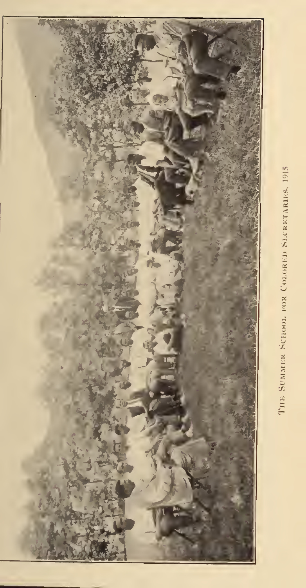

I he Summer School  $\overline{\phantom{a}}$ **Colored Colored States** Secretaries,  $\sim$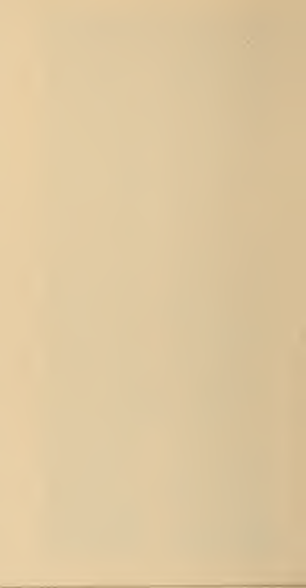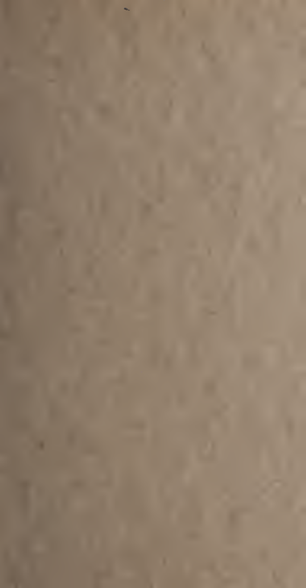